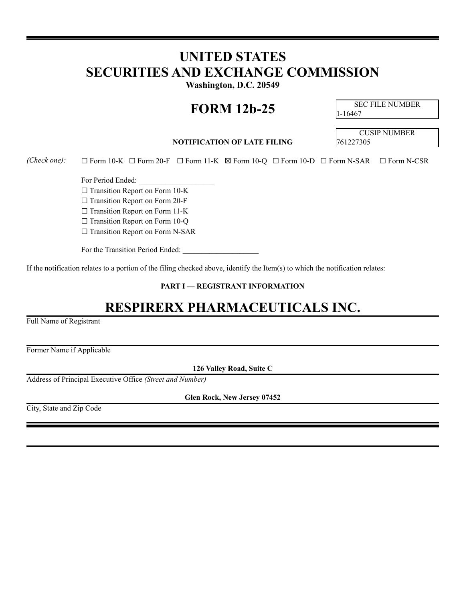# **UNITED STATES SECURITIES AND EXCHANGE COMMISSION**

**Washington, D.C. 20549**

# **FORM 12b-25** SEC FILE NUMBER

1-16467

### **NOTIFICATION OF LATE FILING** 761227305

CUSIP NUMBER

*(Check one):* ☐ Form 10-K ☐ Form 20-F ☐ Form 11-K ☒ Form 10-Q ☐ Form 10-D ☐ Form N-SAR ☐ Form N-CSR

For Period Ended:

□ Transition Report on Form 10-K

☐ Transition Report on Form 20-F

□ Transition Report on Form 11-K

□ Transition Report on Form 10-Q

□ Transition Report on Form N-SAR

For the Transition Period Ended:

If the notification relates to a portion of the filing checked above, identify the Item(s) to which the notification relates:

**PART I — REGISTRANT INFORMATION**

## **RESPIRERX PHARMACEUTICALS INC.**

Full Name of Registrant

Former Name if Applicable

**126 Valley Road, Suite C**

Address of Principal Executive Office *(Street and Number)*

**Glen Rock, New Jersey 07452**

City, State and Zip Code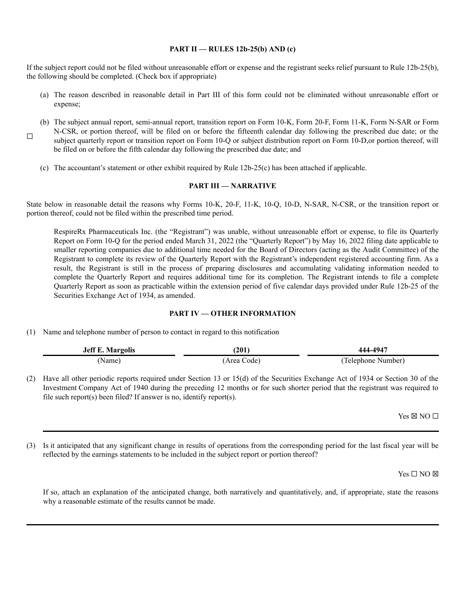#### **PART II — RULES 12b-25(b) AND (c)**

If the subject report could not be filed without unreasonable effort or expense and the registrant seeks relief pursuant to Rule 12b-25(b), the following should be completed. (Check box if appropriate)

- (a) The reason described in reasonable detail in Part III of this form could not be eliminated without unreasonable effort or expense;
- ☐ (b) The subject annual report, semi-annual report, transition report on Form 10-K, Form 20-F, Form 11-K, Form N-SAR or Form N-CSR, or portion thereof, will be filed on or before the fifteenth calendar day following the prescribed due date; or the subject quarterly report or transition report on Form 10-Q or subject distribution report on Form 10-D,or portion thereof, will be filed on or before the fifth calendar day following the prescribed due date; and
	- (c) The accountant's statement or other exhibit required by Rule 12b-25(c) has been attached if applicable.

#### **PART III — NARRATIVE**

State below in reasonable detail the reasons why Forms 10-K, 20-F, 11-K, 10-Q, 10-D, N-SAR, N-CSR, or the transition report or portion thereof, could not be filed within the prescribed time period.

RespireRx Pharmaceuticals Inc. (the "Registrant") was unable, without unreasonable effort or expense, to file its Quarterly Report on Form 10-Q for the period ended March 31, 2022 (the "Quarterly Report") by May 16, 2022 filing date applicable to smaller reporting companies due to additional time needed for the Board of Directors (acting as the Audit Committee) of the Registrant to complete its review of the Quarterly Report with the Registrant's independent registered accounting firm. As a result, the Registrant is still in the process of preparing disclosures and accumulating validating information needed to complete the Quarterly Report and requires additional time for its completion. The Registrant intends to file a complete Quarterly Report as soon as practicable within the extension period of five calendar days provided under Rule 12b-25 of the Securities Exchange Act of 1934, as amended.

#### **PART IV — OTHER INFORMATION**

(1) Name and telephone number of person to contact in regard to this notification

| <b>Jeff E. Margolis</b> | (201           | 444-494"             |
|-------------------------|----------------|----------------------|
| Name)                   | Area (<br>ode. | Number)<br>Telenhone |

(2) Have all other periodic reports required under Section 13 or 15(d) of the Securities Exchange Act of 1934 or Section 30 of the Investment Company Act of 1940 during the preceding 12 months or for such shorter period that the registrant was required to file such report(s) been filed? If answer is no, identify report(s).

 $Yes \boxtimes NO \square$ 

(3) Is it anticipated that any significant change in results of operations from the corresponding period for the last fiscal year will be reflected by the earnings statements to be included in the subject report or portion thereof?

Yes □ NO ⊠

If so, attach an explanation of the anticipated change, both narratively and quantitatively, and, if appropriate, state the reasons why a reasonable estimate of the results cannot be made.